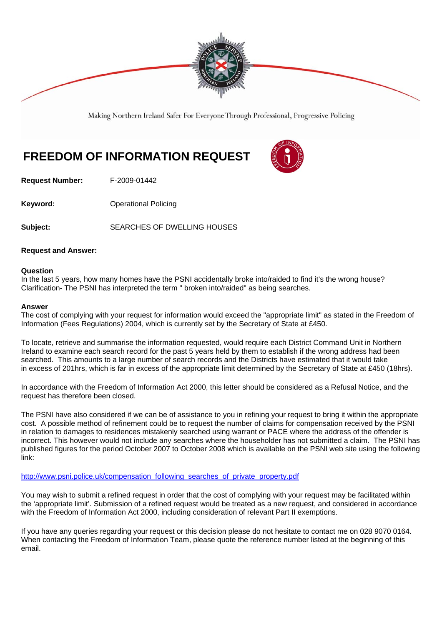

Making Northern Ireland Safer For Everyone Through Professional, Progressive Policing

## **FREEDOM OF INFORMATION REQUEST**



**Request Number:** F-2009-01442

**Keyword: Conservery Operational Policing** 

Subject: SEARCHES OF DWELLING HOUSES

## **Request and Answer:**

## **Question**

In the last 5 years, how many homes have the PSNI accidentally broke into/raided to find it's the wrong house? Clarification- The PSNI has interpreted the term " broken into/raided" as being searches.

## **Answer**

The cost of complying with your request for information would exceed the "appropriate limit" as stated in the Freedom of Information (Fees Regulations) 2004, which is currently set by the Secretary of State at £450.

To locate, retrieve and summarise the information requested, would require each District Command Unit in Northern Ireland to examine each search record for the past 5 years held by them to establish if the wrong address had been searched. This amounts to a large number of search records and the Districts have estimated that it would take in excess of 201hrs, which is far in excess of the appropriate limit determined by the Secretary of State at £450 (18hrs).

In accordance with the Freedom of Information Act 2000, this letter should be considered as a Refusal Notice, and the request has therefore been closed.

The PSNI have also considered if we can be of assistance to you in refining your request to bring it within the appropriate cost. A possible method of refinement could be to request the number of claims for compensation received by the PSNI in relation to damages to residences mistakenly searched using warrant or PACE where the address of the offender is incorrect. This however would not include any searches where the householder has not submitted a claim. The PSNI has published figures for the period October 2007 to October 2008 which is available on the PSNI web site using the following link:

http://www.psni.police.uk/compensation\_following\_searches\_of\_private\_property.pdf

You may wish to submit a refined request in order that the cost of complying with your request may be facilitated within the 'appropriate limit'. Submission of a refined request would be treated as a new request, and considered in accordance with the Freedom of Information Act 2000, including consideration of relevant Part II exemptions.

If you have any queries regarding your request or this decision please do not hesitate to contact me on 028 9070 0164. When contacting the Freedom of Information Team, please quote the reference number listed at the beginning of this email.